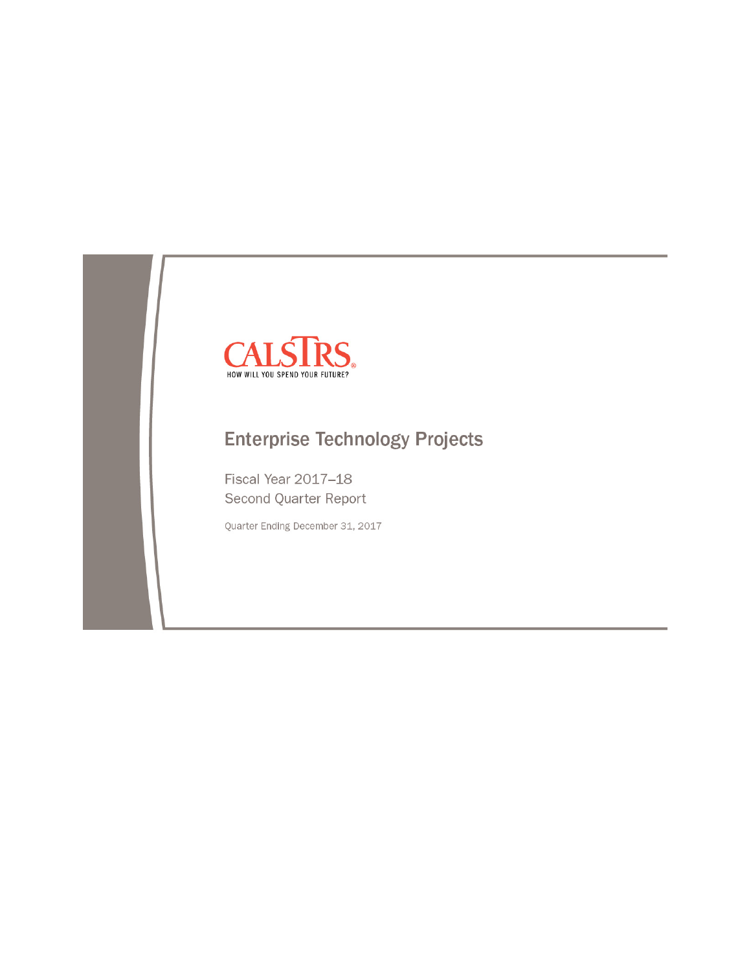

# **Enterprise Technology Projects**

Fiscal Year 2017-18 Second Quarter Report

Quarter Ending December 31, 2017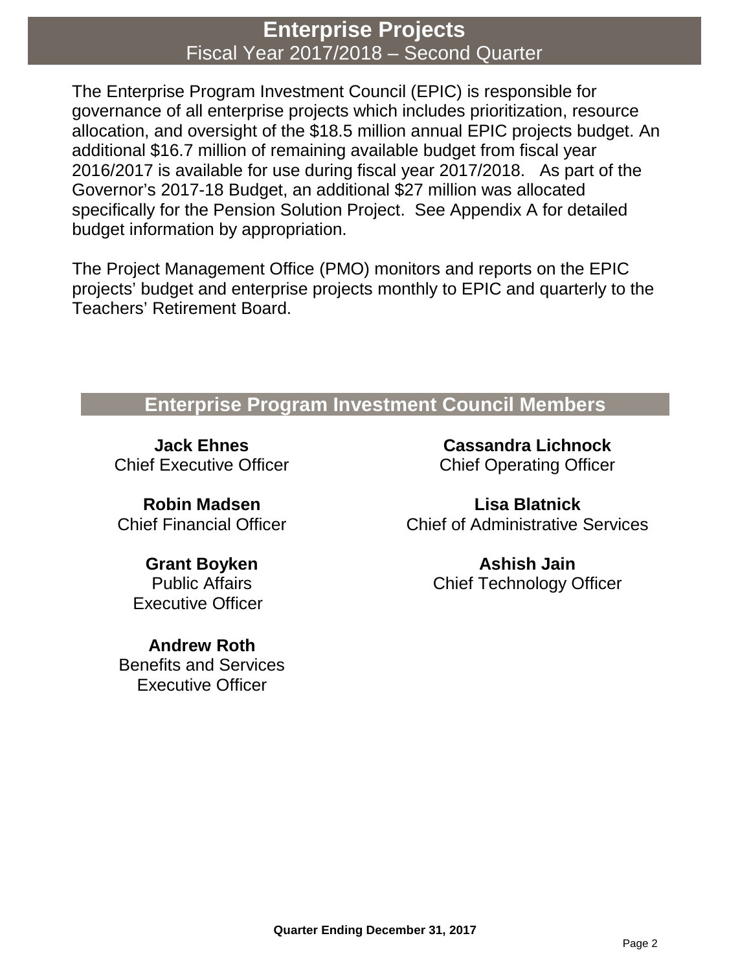# **Enterprise Projects** Fiscal Year 2017/2018 – Second Quarter

The Enterprise Program Investment Council (EPIC) is responsible for governance of all enterprise projects which includes prioritization, resource allocation, and oversight of the \$18.5 million annual EPIC projects budget. An additional \$16.7 million of remaining available budget from fiscal year 2016/2017 is available for use during fiscal year 2017/2018. As part of the Governor's 2017-18 Budget, an additional \$27 million was allocated specifically for the Pension Solution Project. See Appendix A for detailed budget information by appropriation.

The Project Management Office (PMO) monitors and reports on the EPIC projects' budget and enterprise projects monthly to EPIC and quarterly to the Teachers' Retirement Board.

## **Enterprise Program Investment Council Members**

**Jack Ehnes** Chief Executive Officer

**Robin Madsen** Chief Financial Officer

**Grant Boyken** Public Affairs Executive Officer

**Andrew Roth** Benefits and Services Executive Officer

**Cassandra Lichnock** Chief Operating Officer

**Lisa Blatnick** Chief of Administrative Services

> **Ashish Jain** Chief Technology Officer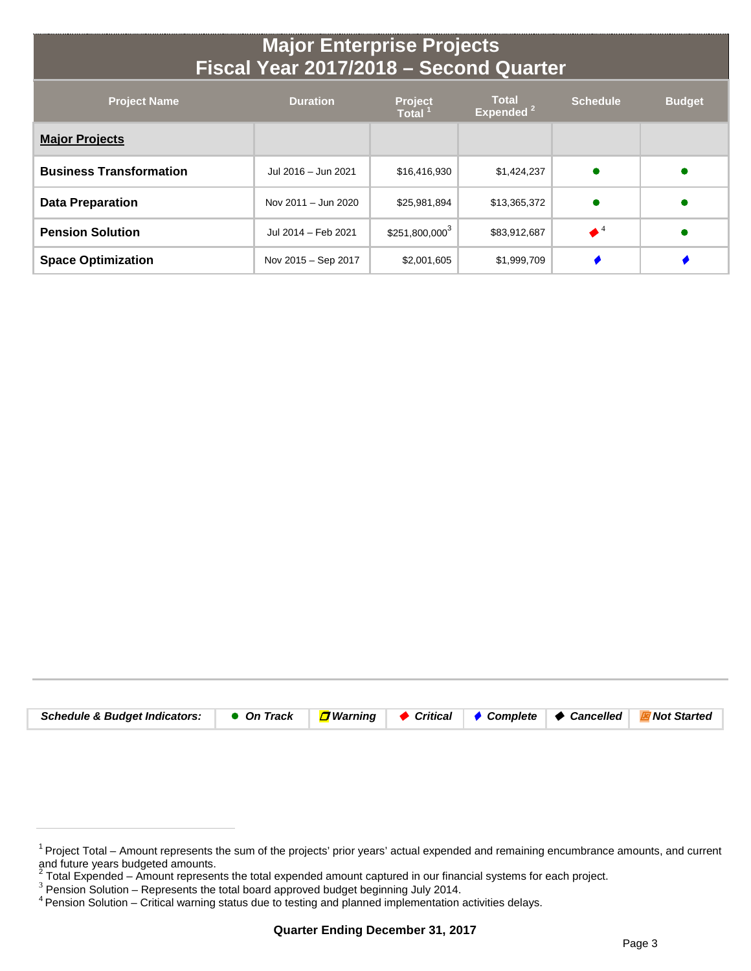# **Major Enterprise Projects Fiscal Year 2017/2018 – Second Quarter**

| <b>Project Name</b>            | <b>Duration</b>     | <b>Project</b><br><b>Total</b> | <b>Total</b><br>Expended <sup>2</sup> | <b>Schedule</b>      | <b>Budget</b> |
|--------------------------------|---------------------|--------------------------------|---------------------------------------|----------------------|---------------|
| <b>Major Projects</b>          |                     |                                |                                       |                      |               |
| <b>Business Transformation</b> | Jul 2016 - Jun 2021 | \$16,416,930                   | \$1,424,237                           |                      |               |
| <b>Data Preparation</b>        | Nov 2011 - Jun 2020 | \$25,981,894                   | \$13,365,372                          |                      |               |
| <b>Pension Solution</b>        | Jul 2014 - Feb 2021 | $$251,800,000^3$               | \$83,912,687                          | $\blacklozenge$ $^4$ |               |
| <b>Space Optimization</b>      | Nov 2015 - Sep 2017 | \$2,001,605                    | \$1,999,709                           |                      |               |

| Schedule & Budget Indicators: ● On Track <mark>□</mark> Warning ◆ Critical ◆ Complete → Cancelled <mark>E</mark> Not Started |  |  |  |
|------------------------------------------------------------------------------------------------------------------------------|--|--|--|

<sup>&</sup>lt;sup>1</sup> Project Total – Amount represents the sum of the projects' prior years' actual expended and remaining encumbrance amounts, and current and future years budgeted amounts.

<sup>&</sup>lt;sup>2</sup> Total Expended – Amount represents the total expended amount captured in our financial systems for each project.<br><sup>3</sup> Pension Solution – Represents the total board approved budget beginning July 2014.<br><sup>4</sup> Pension Soluti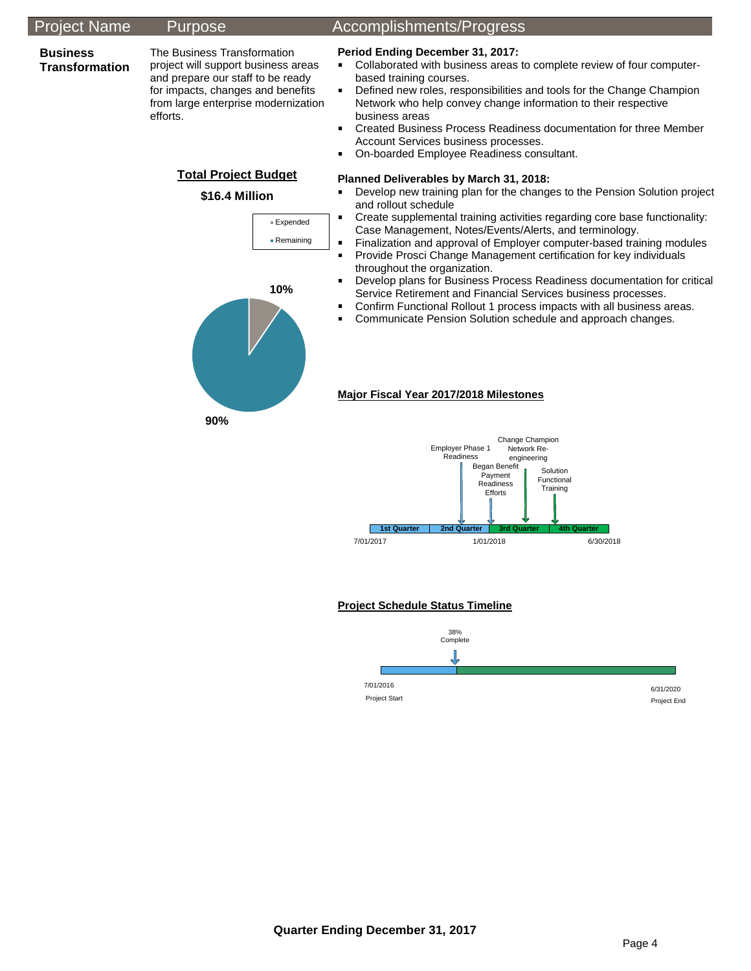### Project Name Purpose Accomplishments/Progress

#### **Business Transformation**

The Business Transformation project will support business areas and prepare our staff to be ready for impacts, changes and benefits from large enterprise modernization efforts.

> **Total Project Budget \$16.4 Million**

> > Expended Remaining

#### **Period Ending December 31, 2017:**

- Collaborated with business areas to complete review of four computerbased training courses.
- Defined new roles, responsibilities and tools for the Change Champion Network who help convey change information to their respective business areas
- Created Business Process Readiness documentation for three Member Account Services business processes.
- On-boarded Employee Readiness consultant.

#### **Planned Deliverables by March 31, 2018:**

- **Develop new training plan for the changes to the Pension Solution project** and rollout schedule
- Create supplemental training activities regarding core base functionality: Case Management, Notes/Events/Alerts, and terminology.
- Finalization and approval of Employer computer-based training modules
- Provide Prosci Change Management certification for key individuals throughout the organization.
- Develop plans for Business Process Readiness documentation for critical Service Retirement and Financial Services business processes.
- Confirm Functional Rollout 1 process impacts with all business areas.
- **Communicate Pension Solution schedule and approach changes.**



#### **Major Fiscal Year 2017/2018 Milestones**



#### **Project Schedule Status Timeline**



**Quarter Ending December 31, 2017**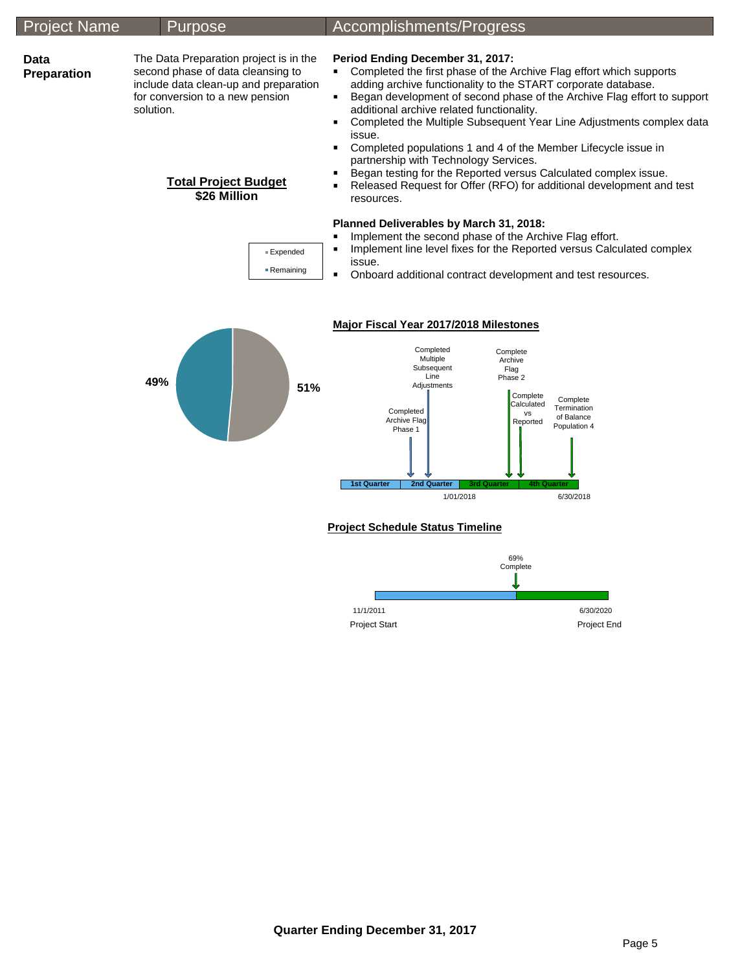| <b>Project Name</b> | <b>Purpose</b>                                                                                                                                                                                                      | Accomplishments/Progress                                                                                                                                                                                                                                                                                                                                                                                                                                                                                                                                                                                                                                                                                                                 |
|---------------------|---------------------------------------------------------------------------------------------------------------------------------------------------------------------------------------------------------------------|------------------------------------------------------------------------------------------------------------------------------------------------------------------------------------------------------------------------------------------------------------------------------------------------------------------------------------------------------------------------------------------------------------------------------------------------------------------------------------------------------------------------------------------------------------------------------------------------------------------------------------------------------------------------------------------------------------------------------------------|
| Data<br>Preparation | The Data Preparation project is in the<br>second phase of data cleansing to<br>include data clean-up and preparation<br>for conversion to a new pension<br>solution.<br><b>Total Project Budget</b><br>\$26 Million | Period Ending December 31, 2017:<br>Completed the first phase of the Archive Flag effort which supports<br>٠<br>adding archive functionality to the START corporate database.<br>Began development of second phase of the Archive Flag effort to support<br>٠<br>additional archive related functionality.<br>Completed the Multiple Subsequent Year Line Adjustments complex data<br>issue.<br>Completed populations 1 and 4 of the Member Lifecycle issue in<br>٠<br>partnership with Technology Services.<br>Began testing for the Reported versus Calculated complex issue.<br>Released Request for Offer (RFO) for additional development and test<br>resources.                                                                    |
|                     | ■ Expended<br>■ Remaining<br>49%<br>51%                                                                                                                                                                             | Planned Deliverables by March 31, 2018:<br>Implement the second phase of the Archive Flag effort.<br>Implement line level fixes for the Reported versus Calculated complex<br>issue.<br>Onboard additional contract development and test resources.<br>$\blacksquare$<br>Major Fiscal Year 2017/2018 Milestones<br>Completed<br>Complete<br>Multiple<br>Archive<br>Subsequent<br>Flag<br>Line<br>Phase 2<br>Adjustments<br>Complete<br>Complete<br>Calculated<br>Termination<br>Completed<br><b>VS</b><br>of Balance<br>Archive Flag<br>Reported<br>Population 4<br>Phase 1<br><b>2nd Quarter</b><br><b>1st Quarter</b><br><b>3rd Quarter</b><br><b>4th Quarter</b><br>6/30/2018<br>1/01/2018<br><b>Project Schedule Status Timeline</b> |
|                     |                                                                                                                                                                                                                     |                                                                                                                                                                                                                                                                                                                                                                                                                                                                                                                                                                                                                                                                                                                                          |

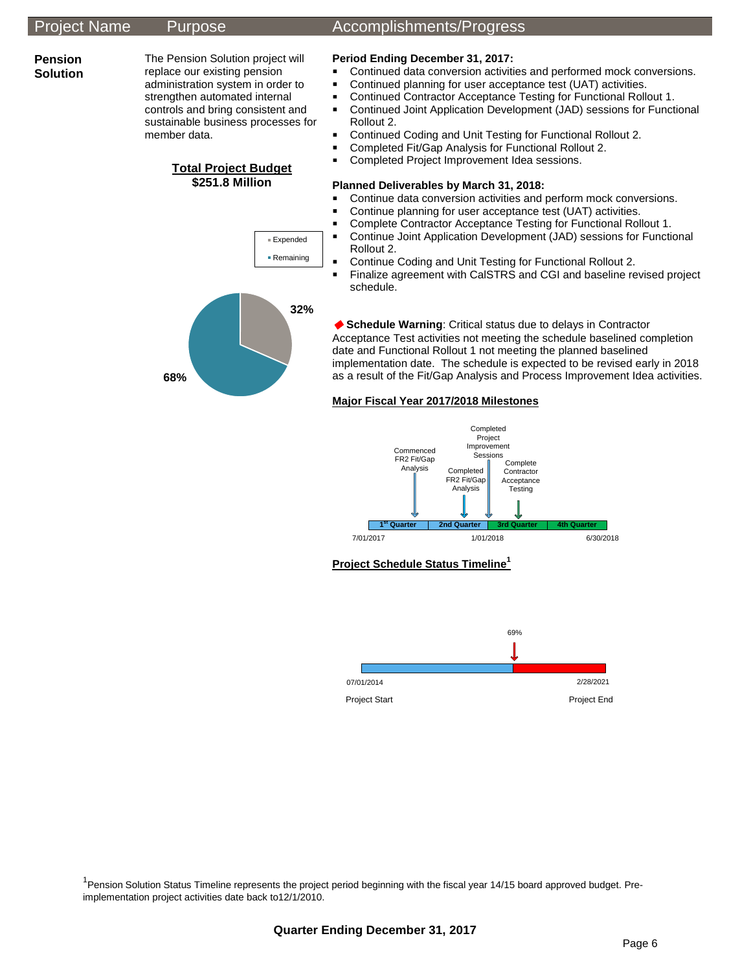### Project Name Purpose Accomplishments/Progress

#### **Pension Solution**

The Pension Solution project will replace our existing pension administration system in order to strengthen automated internal controls and bring consistent and sustainable business processes for member data.

> **Total Project Budget \$251.8 Million**

> > Expended ■ Remaining

### **Period Ending December 31, 2017:**

- **Continued data conversion activities and performed mock conversions.**
- Continued planning for user acceptance test (UAT) activities.
- Continued Contractor Acceptance Testing for Functional Rollout 1.
- Continued Joint Application Development (JAD) sessions for Functional Rollout 2.
- Continued Coding and Unit Testing for Functional Rollout 2.
- Completed Fit/Gap Analysis for Functional Rollout 2.
- **Completed Project Improvement Idea sessions.**

### **Planned Deliverables by March 31, 2018:**

- **Continue data conversion activities and perform mock conversions.**
- Continue planning for user acceptance test (UAT) activities.
- Complete Contractor Acceptance Testing for Functional Rollout 1.
- Continue Joint Application Development (JAD) sessions for Functional Rollout 2.
- **Continue Coding and Unit Testing for Functional Rollout 2.**
- Finalize agreement with CalSTRS and CGI and baseline revised project schedule.



 **Schedule Warning**: Critical status due to delays in Contractor Acceptance Test activities not meeting the schedule baselined completion date and Functional Rollout 1 not meeting the planned baselined implementation date. The schedule is expected to be revised early in 2018 as a result of the Fit/Gap Analysis and Process Improvement Idea activities.

#### **Major Fiscal Year 2017/2018 Milestones**



**Project Schedule Status Timeline<sup>1</sup>**



<sup>1</sup> Pension Solution Status Timeline represents the project period beginning with the fiscal year 14/15 board approved budget. Preimplementation project activities date back to12/1/2010.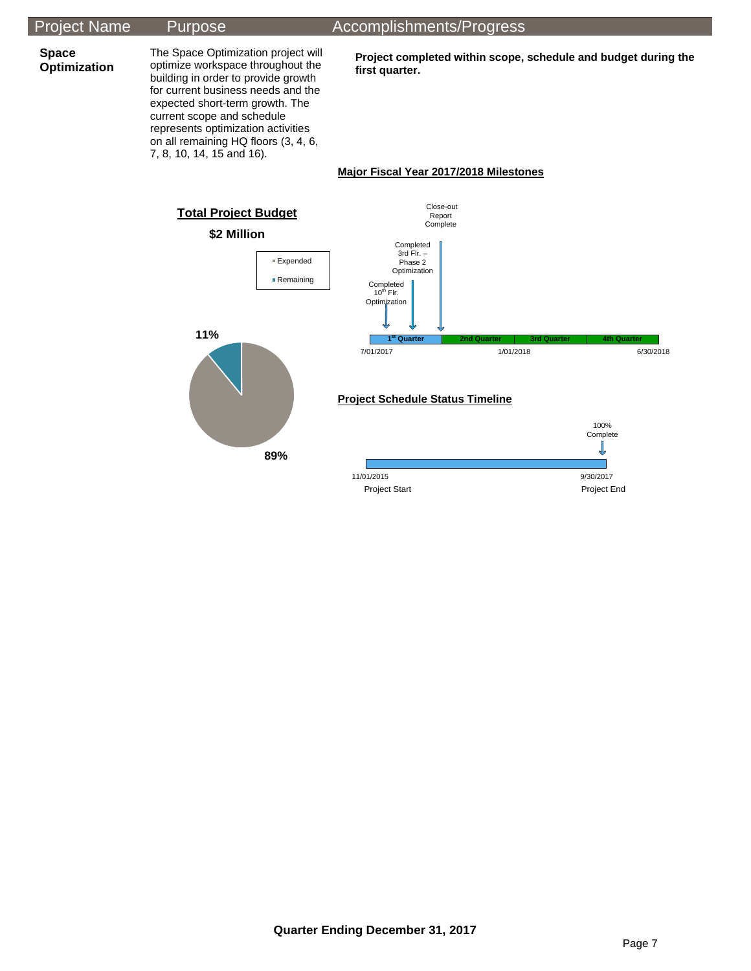## Project Name Purpose Accomplishments/Progress

**Space Optimization** 

optimize workspace throughout the building in order to provide growth for current business needs and the expected short-term growth. The current scope and schedule represents optimization activities on all remaining HQ floors (3, 4, 6, 7, 8, 10, 14, 15 and 16).

The Space Optimization project will

**Project completed within scope, schedule and budget during the first quarter.**

#### **Major Fiscal Year 2017/2018 Milestones**

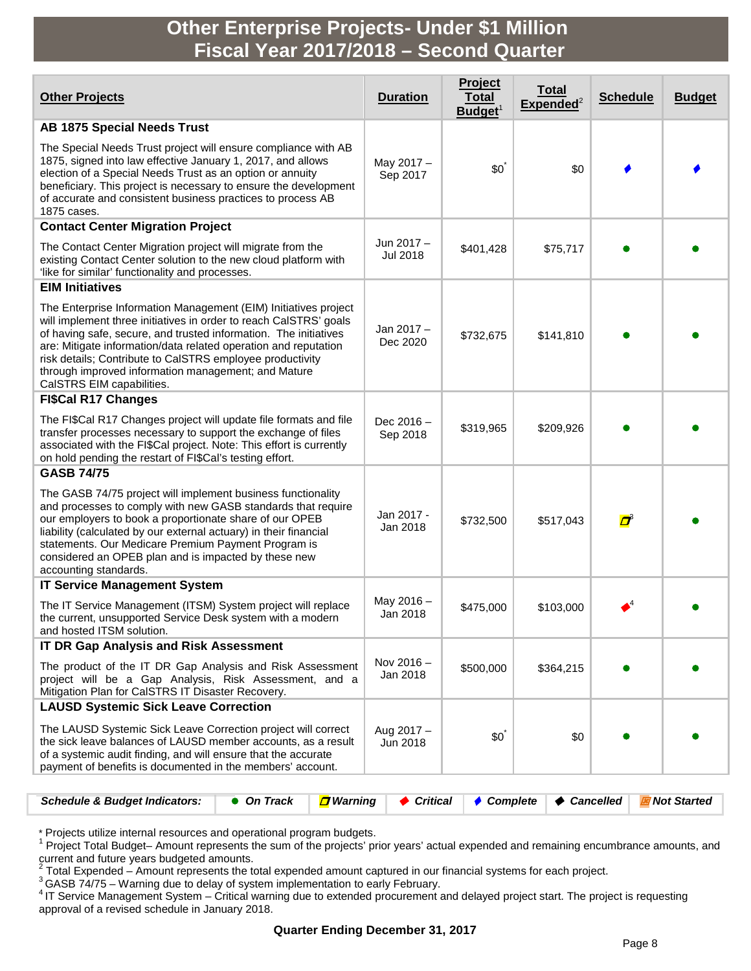# **Other Enterprise Projects- Under \$1 Million Fiscal Year 2017/2018 – Second Quarter**

| <b>Other Projects</b>                                                                                                                                                                                                                                                                                                                                                                                                        | <b>Duration</b>               | Project<br><b>Total</b><br>Budget <sup>1</sup> | <u>Total</u><br>${\sf Expected}^2$ | <b>Schedule</b> | <b>Budget</b> |
|------------------------------------------------------------------------------------------------------------------------------------------------------------------------------------------------------------------------------------------------------------------------------------------------------------------------------------------------------------------------------------------------------------------------------|-------------------------------|------------------------------------------------|------------------------------------|-----------------|---------------|
| <b>AB 1875 Special Needs Trust</b>                                                                                                                                                                                                                                                                                                                                                                                           |                               |                                                |                                    |                 |               |
| The Special Needs Trust project will ensure compliance with AB<br>1875, signed into law effective January 1, 2017, and allows<br>election of a Special Needs Trust as an option or annuity<br>beneficiary. This project is necessary to ensure the development<br>of accurate and consistent business practices to process AB<br>1875 cases.                                                                                 | May 2017 -<br>Sep 2017        | $$0^{\degree}$                                 | \$0                                |                 |               |
| <b>Contact Center Migration Project</b>                                                                                                                                                                                                                                                                                                                                                                                      |                               |                                                |                                    |                 |               |
| The Contact Center Migration project will migrate from the<br>existing Contact Center solution to the new cloud platform with<br>'like for similar' functionality and processes.                                                                                                                                                                                                                                             | Jun 2017 -<br><b>Jul 2018</b> | \$401,428                                      | \$75,717                           |                 |               |
| <b>EIM Initiatives</b>                                                                                                                                                                                                                                                                                                                                                                                                       |                               |                                                |                                    |                 |               |
| The Enterprise Information Management (EIM) Initiatives project<br>will implement three initiatives in order to reach CalSTRS' goals<br>of having safe, secure, and trusted information. The initiatives<br>are: Mitigate information/data related operation and reputation<br>risk details; Contribute to CalSTRS employee productivity<br>through improved information management; and Mature<br>CalSTRS EIM capabilities. | Jan 2017-<br>Dec 2020         | \$732,675                                      | \$141,810                          |                 |               |
| <b>FI\$Cal R17 Changes</b>                                                                                                                                                                                                                                                                                                                                                                                                   |                               |                                                |                                    |                 |               |
| The FI\$Cal R17 Changes project will update file formats and file<br>transfer processes necessary to support the exchange of files<br>associated with the FI\$Cal project. Note: This effort is currently<br>on hold pending the restart of FI\$Cal's testing effort.                                                                                                                                                        | Dec $2016 -$<br>Sep 2018      | \$319,965                                      | \$209,926                          |                 |               |
| <b>GASB 74/75</b>                                                                                                                                                                                                                                                                                                                                                                                                            |                               |                                                |                                    |                 |               |
| The GASB 74/75 project will implement business functionality<br>and processes to comply with new GASB standards that require<br>our employers to book a proportionate share of our OPEB<br>liability (calculated by our external actuary) in their financial<br>statements. Our Medicare Premium Payment Program is<br>considered an OPEB plan and is impacted by these new<br>accounting standards.                         | Jan 2017 -<br>Jan 2018        | \$732,500                                      | \$517,043                          | ď               |               |
| <b>IT Service Management System</b>                                                                                                                                                                                                                                                                                                                                                                                          |                               |                                                |                                    |                 |               |
| The IT Service Management (ITSM) System project will replace<br>the current, unsupported Service Desk system with a modern<br>and hosted ITSM solution.                                                                                                                                                                                                                                                                      | May 2016 -<br>Jan 2018        | \$475,000                                      | \$103,000                          |                 |               |
| <b>IT DR Gap Analysis and Risk Assessment</b>                                                                                                                                                                                                                                                                                                                                                                                |                               |                                                |                                    |                 |               |
| The product of the IT DR Gap Analysis and Risk Assessment<br>project will be a Gap Analysis, Risk Assessment, and a<br>Mitigation Plan for CaISTRS IT Disaster Recovery.                                                                                                                                                                                                                                                     | Nov 2016 -<br>Jan 2018        | \$500,000                                      | \$364,215                          |                 |               |
| <b>LAUSD Systemic Sick Leave Correction</b>                                                                                                                                                                                                                                                                                                                                                                                  |                               |                                                |                                    |                 |               |
| The LAUSD Systemic Sick Leave Correction project will correct<br>the sick leave balances of LAUSD member accounts, as a result<br>of a systemic audit finding, and will ensure that the accurate<br>payment of benefits is documented in the members' account.                                                                                                                                                               | Aug 2017 -<br>Jun 2018        | $$0^{\degree}$                                 | \$0                                |                 |               |
|                                                                                                                                                                                                                                                                                                                                                                                                                              |                               |                                                |                                    |                 |               |

| Schedule & Budget Indicators: $\bullet$ On Track $\Box$ Warning $\bullet$ Critical $\bullet$ Complete $\bullet$ Cancelled $\Box$ Not Started |  |  |  |  |  |  |
|----------------------------------------------------------------------------------------------------------------------------------------------|--|--|--|--|--|--|
|----------------------------------------------------------------------------------------------------------------------------------------------|--|--|--|--|--|--|

\* Projects utilize internal resources and operational program budgets.<br><sup>1</sup> Project Total Budget– Amount represents the sum of the projects' prior years' actual expended and remaining encumbrance amounts, and<br>current and fu

 $3$  Total Expended – Amount represents the total expended amount captured in our financial systems for each project.<br>  $3$  GASB 74/75 – Warning due to delay of system implementation to early February.<br>
<sup>4</sup> IT Service Manag approval of a revised schedule in January 2018.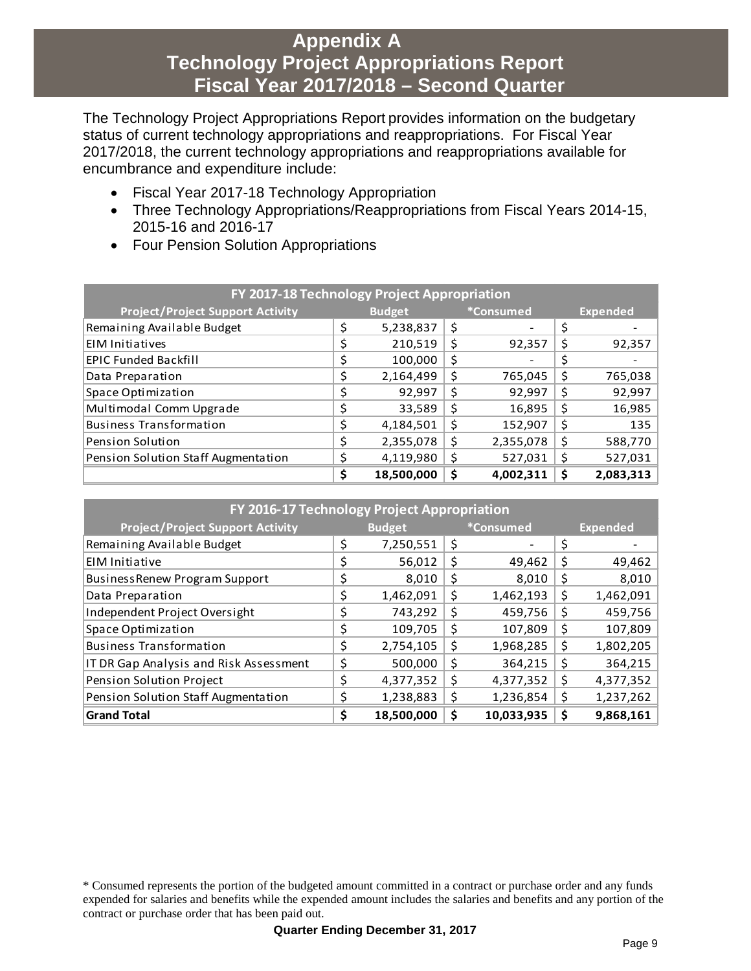# **Appendix A Technology Project Appropriations Report Fiscal Year 2017/2018 – Second Quarter**

The Technology Project Appropriations Report provides information on the budgetary status of current technology appropriations and reappropriations. For Fiscal Year 2017/2018, the current technology appropriations and reappropriations available for encumbrance and expenditure include:

- Fiscal Year 2017-18 Technology Appropriation
- Three Technology Appropriations/Reappropriations from Fiscal Years 2014-15, 2015-16 and 2016-17
- Four Pension Solution Appropriations

| FY 2017-18 Technology Project Appropriation |                                          |            |    |           |                 |           |  |  |
|---------------------------------------------|------------------------------------------|------------|----|-----------|-----------------|-----------|--|--|
| <b>Project/Project Support Activity</b>     | <i><b>*Consumed</b></i><br><b>Budget</b> |            |    |           | <b>Expended</b> |           |  |  |
| Remaining Available Budget                  | \$                                       | 5,238,837  | \$ |           | \$              |           |  |  |
| <b>EIM Initiatives</b>                      |                                          | 210,519    | \$ | 92,357    | \$              | 92,357    |  |  |
| <b>EPIC Funded Backfill</b>                 |                                          | 100,000    | \$ |           | \$              |           |  |  |
| Data Preparation                            | \$                                       | 2,164,499  | \$ | 765,045   | \$              | 765,038   |  |  |
| Space Optimization                          | \$                                       | 92,997     | \$ | 92,997    | \$              | 92,997    |  |  |
| Multimodal Comm Upgrade                     | \$                                       | 33,589     | \$ | 16,895    | \$              | 16,985    |  |  |
| <b>Business Transformation</b>              | \$                                       | 4,184,501  | \$ | 152,907   | \$              | 135       |  |  |
| <b>Pension Solution</b>                     | \$                                       | 2,355,078  | \$ | 2,355,078 | \$              | 588,770   |  |  |
| Pension Solution Staff Augmentation         |                                          | 4,119,980  | \$ | 527,031   | \$              | 527,031   |  |  |
|                                             | \$                                       | 18,500,000 | \$ | 4,002,311 | Ś               | 2,083,313 |  |  |

| FY 2016-17 Technology Project Appropriation |               |            |    |                   |    |                 |  |  |
|---------------------------------------------|---------------|------------|----|-------------------|----|-----------------|--|--|
| <b>Project/Project Support Activity</b>     | <b>Budget</b> |            |    | <i>*</i> Consumed |    | <b>Expended</b> |  |  |
| Remaining Available Budget                  | \$            | 7,250,551  | \$ |                   | \$ |                 |  |  |
| EIM Initiative                              | \$            | 56,012     | \$ | 49,462            | \$ | 49,462          |  |  |
| <b>BusinessRenew Program Support</b>        | \$            | 8,010      | Ş  | 8,010             | Ş  | 8,010           |  |  |
| Data Preparation                            | \$            | 1,462,091  | \$ | 1,462,193         | Ş  | 1,462,091       |  |  |
| Independent Project Oversight               | Ś.            | 743,292    | \$ | 459,756           | S  | 459,756         |  |  |
| Space Optimization                          | \$            | 109,705    | \$ | 107,809           | Ş  | 107,809         |  |  |
| <b>Business Transformation</b>              | \$            | 2,754,105  | \$ | 1,968,285         | \$ | 1,802,205       |  |  |
| IT DR Gap Analysis and Risk Assessment      | \$            | 500,000    | \$ | 364,215           | \$ | 364,215         |  |  |
| Pension Solution Project                    | Ś             | 4,377,352  | \$ | 4,377,352         | \$ | 4,377,352       |  |  |
| Pension Solution Staff Augmentation         |               | 1,238,883  | Ş  | 1,236,854         | S  | 1,237,262       |  |  |
| <b>Grand Total</b>                          | \$            | 18,500,000 | \$ | 10,033,935        | \$ | 9,868,161       |  |  |

<sup>\*</sup> Consumed represents the portion of the budgeted amount committed in a contract or purchase order and any funds expended for salaries and benefits while the expended amount includes the salaries and benefits and any portion of the contract or purchase order that has been paid out.